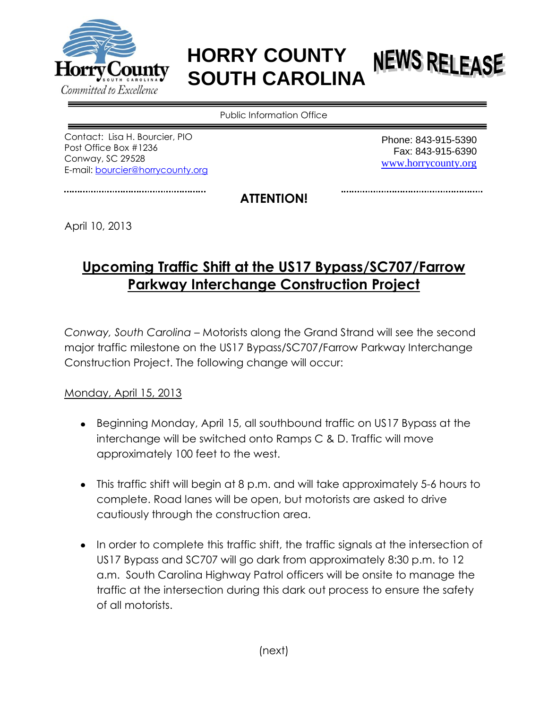

## **HORRY COUNTY NEWS RELEASE SOUTH CAROLINA**

Public Information Office

Contact: Lisa H. Bourcier, PIO Post Office Box #1236 Conway, SC 29528 E-mail: [bourcier@horrycounty.org](mailto:hammersl@horrycounty.org)

Phone: 843-915-5390 Fax: 843-915-6390 [www.horrycounty.org](http://www.horrycounty.org/)

**ATTENTION!**

April 10, 2013

## **Upcoming Traffic Shift at the US17 Bypass/SC707/Farrow Parkway Interchange Construction Project**

*Conway, South Carolina –* Motorists along the Grand Strand will see the second major traffic milestone on the US17 Bypass/SC707/Farrow Parkway Interchange Construction Project. The following change will occur:

Monday, April 15, 2013

- Beginning Monday, April 15, all southbound traffic on US17 Bypass at the interchange will be switched onto Ramps C & D. Traffic will move approximately 100 feet to the west.
- This traffic shift will begin at 8 p.m. and will take approximately 5-6 hours to complete. Road lanes will be open, but motorists are asked to drive cautiously through the construction area.
- In order to complete this traffic shift, the traffic signals at the intersection of US17 Bypass and SC707 will go dark from approximately 8:30 p.m. to 12 a.m. South Carolina Highway Patrol officers will be onsite to manage the traffic at the intersection during this dark out process to ensure the safety of all motorists.

(next)